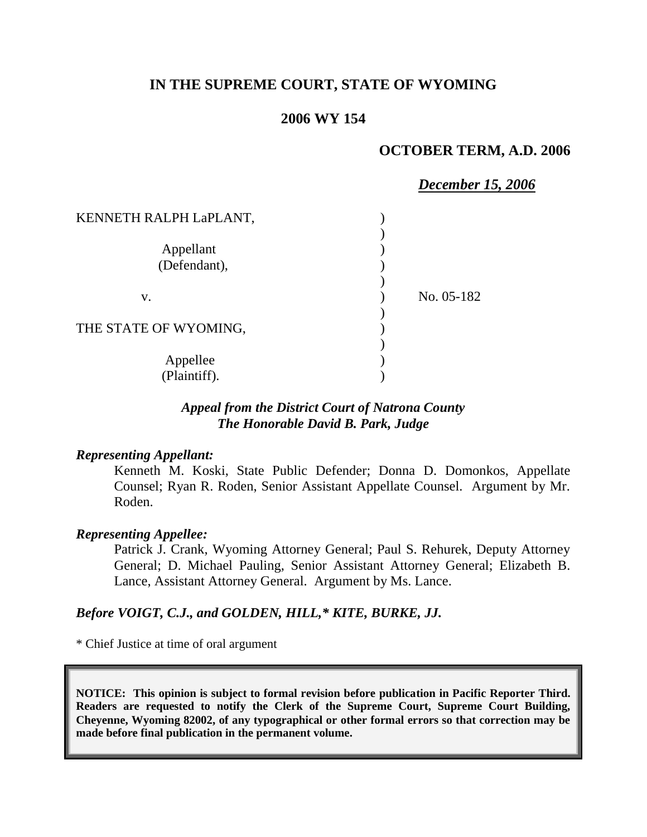# **IN THE SUPREME COURT, STATE OF WYOMING**

## **2006 WY 154**

### **OCTOBER TERM, A.D. 2006**

|                        | December 15, 2006 |
|------------------------|-------------------|
| KENNETH RALPH LaPLANT, |                   |
|                        |                   |
| Appellant              |                   |
| (Defendant),           |                   |
|                        |                   |
| V.                     | No. 05-182        |
|                        |                   |
| THE STATE OF WYOMING,  |                   |
|                        |                   |
| Appellee               |                   |
| (Plaintiff).           |                   |

## *Appeal from the District Court of Natrona County The Honorable David B. Park, Judge*

### *Representing Appellant:*

Kenneth M. Koski, State Public Defender; Donna D. Domonkos, Appellate Counsel; Ryan R. Roden, Senior Assistant Appellate Counsel. Argument by Mr. Roden.

#### *Representing Appellee:*

Patrick J. Crank, Wyoming Attorney General; Paul S. Rehurek, Deputy Attorney General; D. Michael Pauling, Senior Assistant Attorney General; Elizabeth B. Lance, Assistant Attorney General. Argument by Ms. Lance.

#### *Before VOIGT, C.J., and GOLDEN, HILL,\* KITE, BURKE, JJ.*

\* Chief Justice at time of oral argument

**NOTICE: This opinion is subject to formal revision before publication in Pacific Reporter Third. Readers are requested to notify the Clerk of the Supreme Court, Supreme Court Building, Cheyenne, Wyoming 82002, of any typographical or other formal errors so that correction may be made before final publication in the permanent volume.**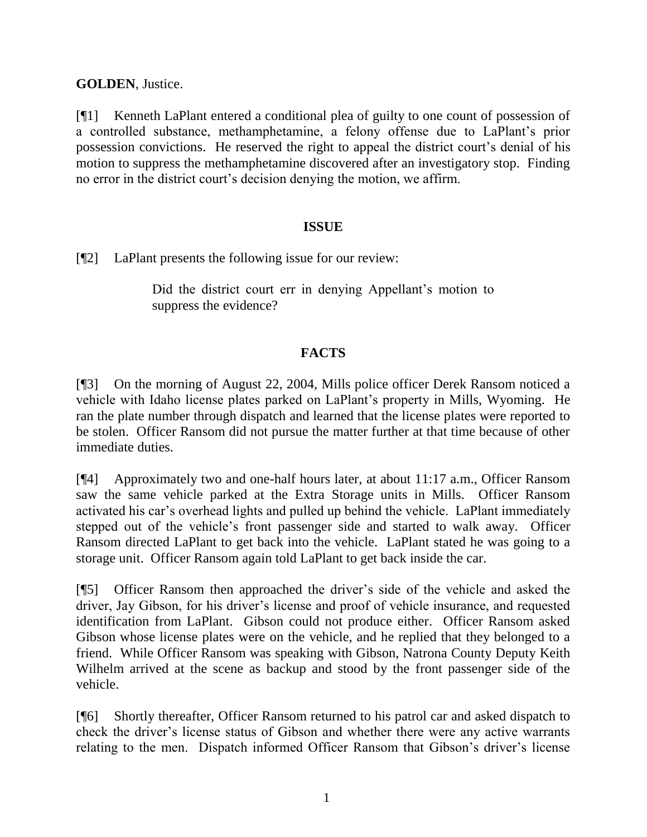**GOLDEN**, Justice.

[¶1] Kenneth LaPlant entered a conditional plea of guilty to one count of possession of a controlled substance, methamphetamine, a felony offense due to LaPlant's prior possession convictions. He reserved the right to appeal the district court's denial of his motion to suppress the methamphetamine discovered after an investigatory stop. Finding no error in the district court's decision denying the motion, we affirm.

## **ISSUE**

[¶2] LaPlant presents the following issue for our review:

Did the district court err in denying Appellant's motion to suppress the evidence?

# **FACTS**

[¶3] On the morning of August 22, 2004, Mills police officer Derek Ransom noticed a vehicle with Idaho license plates parked on LaPlant's property in Mills, Wyoming. He ran the plate number through dispatch and learned that the license plates were reported to be stolen. Officer Ransom did not pursue the matter further at that time because of other immediate duties.

[¶4] Approximately two and one-half hours later, at about 11:17 a.m., Officer Ransom saw the same vehicle parked at the Extra Storage units in Mills. Officer Ransom activated his car's overhead lights and pulled up behind the vehicle. LaPlant immediately stepped out of the vehicle's front passenger side and started to walk away. Officer Ransom directed LaPlant to get back into the vehicle. LaPlant stated he was going to a storage unit. Officer Ransom again told LaPlant to get back inside the car.

[¶5] Officer Ransom then approached the driver's side of the vehicle and asked the driver, Jay Gibson, for his driver's license and proof of vehicle insurance, and requested identification from LaPlant. Gibson could not produce either. Officer Ransom asked Gibson whose license plates were on the vehicle, and he replied that they belonged to a friend. While Officer Ransom was speaking with Gibson, Natrona County Deputy Keith Wilhelm arrived at the scene as backup and stood by the front passenger side of the vehicle.

[¶6] Shortly thereafter, Officer Ransom returned to his patrol car and asked dispatch to check the driver's license status of Gibson and whether there were any active warrants relating to the men. Dispatch informed Officer Ransom that Gibson's driver's license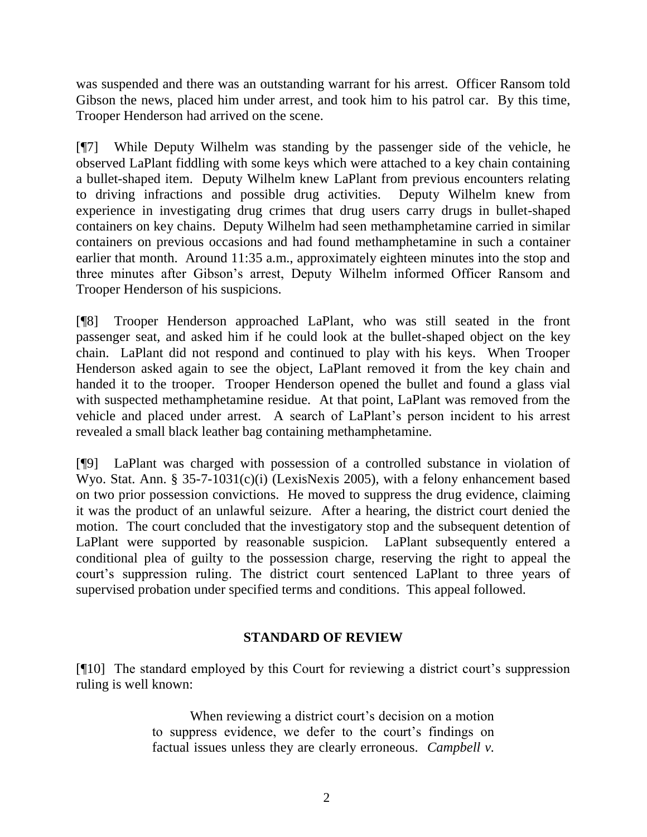was suspended and there was an outstanding warrant for his arrest. Officer Ransom told Gibson the news, placed him under arrest, and took him to his patrol car. By this time, Trooper Henderson had arrived on the scene.

[¶7] While Deputy Wilhelm was standing by the passenger side of the vehicle, he observed LaPlant fiddling with some keys which were attached to a key chain containing a bullet-shaped item. Deputy Wilhelm knew LaPlant from previous encounters relating to driving infractions and possible drug activities. Deputy Wilhelm knew from experience in investigating drug crimes that drug users carry drugs in bullet-shaped containers on key chains. Deputy Wilhelm had seen methamphetamine carried in similar containers on previous occasions and had found methamphetamine in such a container earlier that month. Around 11:35 a.m., approximately eighteen minutes into the stop and three minutes after Gibson's arrest, Deputy Wilhelm informed Officer Ransom and Trooper Henderson of his suspicions.

[¶8] Trooper Henderson approached LaPlant, who was still seated in the front passenger seat, and asked him if he could look at the bullet-shaped object on the key chain. LaPlant did not respond and continued to play with his keys. When Trooper Henderson asked again to see the object, LaPlant removed it from the key chain and handed it to the trooper. Trooper Henderson opened the bullet and found a glass vial with suspected methamphetamine residue. At that point, LaPlant was removed from the vehicle and placed under arrest. A search of LaPlant's person incident to his arrest revealed a small black leather bag containing methamphetamine.

[¶9] LaPlant was charged with possession of a controlled substance in violation of Wyo. Stat. Ann. § 35-7-1031(c)(i) (LexisNexis 2005), with a felony enhancement based on two prior possession convictions. He moved to suppress the drug evidence, claiming it was the product of an unlawful seizure. After a hearing, the district court denied the motion. The court concluded that the investigatory stop and the subsequent detention of LaPlant were supported by reasonable suspicion. LaPlant subsequently entered a conditional plea of guilty to the possession charge, reserving the right to appeal the court's suppression ruling. The district court sentenced LaPlant to three years of supervised probation under specified terms and conditions. This appeal followed.

## **STANDARD OF REVIEW**

[¶10] The standard employed by this Court for reviewing a district court's suppression ruling is well known:

> When reviewing a district court's decision on a motion to suppress evidence, we defer to the court's findings on factual issues unless they are clearly erroneous. *Campbell v.*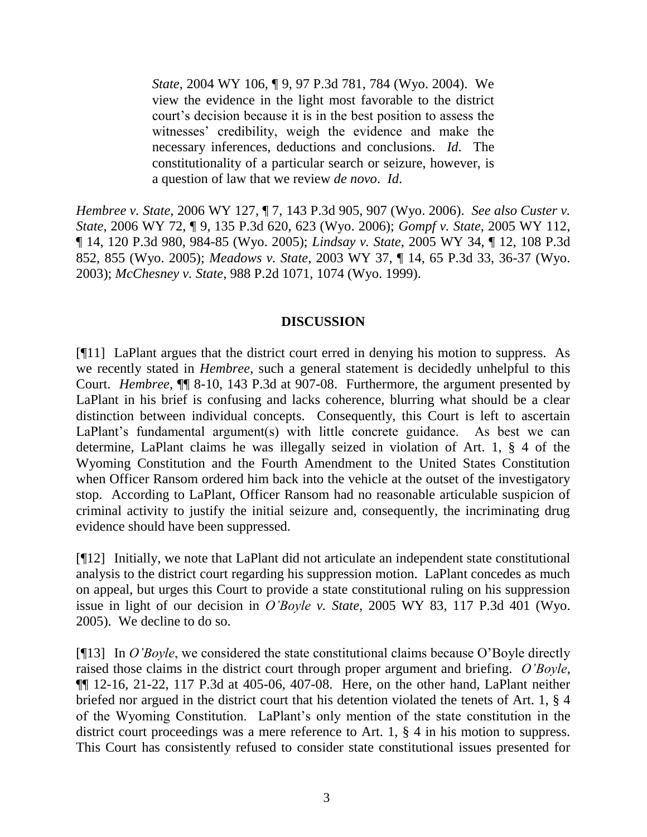*State*, 2004 WY 106, ¶ 9, 97 P.3d 781, 784 (Wyo. 2004). We view the evidence in the light most favorable to the district court's decision because it is in the best position to assess the witnesses' credibility, weigh the evidence and make the necessary inferences, deductions and conclusions. *Id*. The constitutionality of a particular search or seizure, however, is a question of law that we review *de novo*. *Id*.

*Hembree v. State*, 2006 WY 127, ¶ 7, 143 P.3d 905, 907 (Wyo. 2006). *See also Custer v. State*, 2006 WY 72, ¶ 9, 135 P.3d 620, 623 (Wyo. 2006); *Gompf v. State*, 2005 WY 112, ¶ 14, 120 P.3d 980, 984-85 (Wyo. 2005); *Lindsay v. State*, 2005 WY 34, ¶ 12, 108 P.3d 852, 855 (Wyo. 2005); *Meadows v. State*, 2003 WY 37, ¶ 14, 65 P.3d 33, 36-37 (Wyo. 2003); *McChesney v. State*, 988 P.2d 1071, 1074 (Wyo. 1999).

### **DISCUSSION**

[¶11] LaPlant argues that the district court erred in denying his motion to suppress. As we recently stated in *Hembree*, such a general statement is decidedly unhelpful to this Court. *Hembree*, ¶¶ 8-10, 143 P.3d at 907-08. Furthermore, the argument presented by LaPlant in his brief is confusing and lacks coherence, blurring what should be a clear distinction between individual concepts. Consequently, this Court is left to ascertain LaPlant's fundamental argument(s) with little concrete guidance. As best we can determine, LaPlant claims he was illegally seized in violation of Art. 1, § 4 of the Wyoming Constitution and the Fourth Amendment to the United States Constitution when Officer Ransom ordered him back into the vehicle at the outset of the investigatory stop. According to LaPlant, Officer Ransom had no reasonable articulable suspicion of criminal activity to justify the initial seizure and, consequently, the incriminating drug evidence should have been suppressed.

[¶12] Initially, we note that LaPlant did not articulate an independent state constitutional analysis to the district court regarding his suppression motion. LaPlant concedes as much on appeal, but urges this Court to provide a state constitutional ruling on his suppression issue in light of our decision in *O'Boyle v. State*, 2005 WY 83, 117 P.3d 401 (Wyo. 2005). We decline to do so.

[¶13] In *O'Boyle*, we considered the state constitutional claims because O'Boyle directly raised those claims in the district court through proper argument and briefing. *O'Boyle*, ¶¶ 12-16, 21-22, 117 P.3d at 405-06, 407-08. Here, on the other hand, LaPlant neither briefed nor argued in the district court that his detention violated the tenets of Art. 1, § 4 of the Wyoming Constitution. LaPlant's only mention of the state constitution in the district court proceedings was a mere reference to Art. 1, § 4 in his motion to suppress. This Court has consistently refused to consider state constitutional issues presented for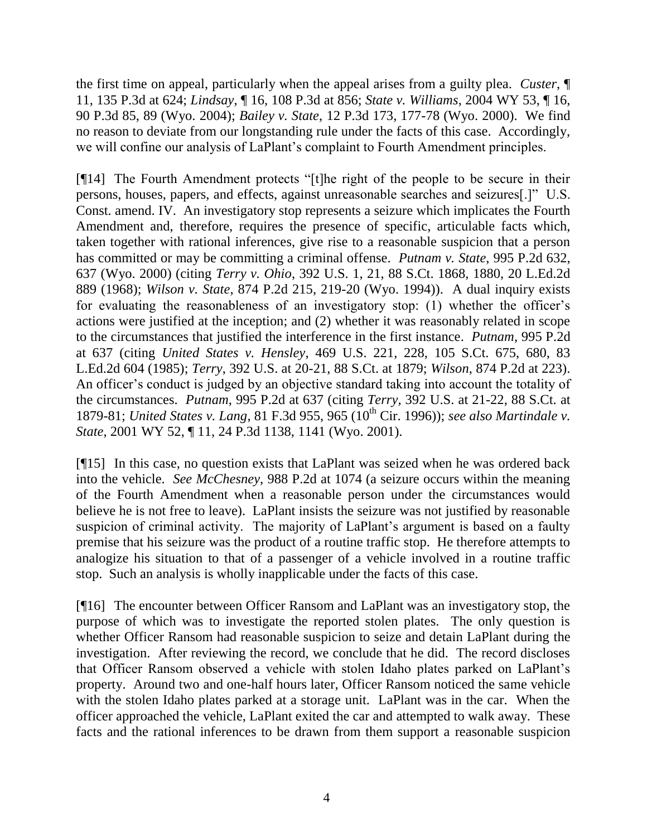the first time on appeal, particularly when the appeal arises from a guilty plea. *Custer*, ¶ 11, 135 P.3d at 624; *Lindsay*, ¶ 16, 108 P.3d at 856; *State v. Williams*, 2004 WY 53, ¶ 16, 90 P.3d 85, 89 (Wyo. 2004); *Bailey v. State*, 12 P.3d 173, 177-78 (Wyo. 2000). We find no reason to deviate from our longstanding rule under the facts of this case. Accordingly, we will confine our analysis of LaPlant's complaint to Fourth Amendment principles.

[¶14] The Fourth Amendment protects "[t]he right of the people to be secure in their persons, houses, papers, and effects, against unreasonable searches and seizures[.]" U.S. Const. amend. IV. An investigatory stop represents a seizure which implicates the Fourth Amendment and, therefore, requires the presence of specific, articulable facts which, taken together with rational inferences, give rise to a reasonable suspicion that a person has committed or may be committing a criminal offense. *Putnam v. State*, 995 P.2d 632, 637 (Wyo. 2000) (citing *Terry v. Ohio*, 392 U.S. 1, 21, 88 S.Ct. 1868, 1880, 20 L.Ed.2d 889 (1968); *Wilson v. State*, 874 P.2d 215, 219-20 (Wyo. 1994)). A dual inquiry exists for evaluating the reasonableness of an investigatory stop: (1) whether the officer's actions were justified at the inception; and (2) whether it was reasonably related in scope to the circumstances that justified the interference in the first instance. *Putnam*, 995 P.2d at 637 (citing *United States v. Hensley*, 469 U.S. 221, 228, 105 S.Ct. 675, 680, 83 L.Ed.2d 604 (1985); *Terry*, 392 U.S. at 20-21, 88 S.Ct. at 1879; *Wilson*, 874 P.2d at 223). An officer's conduct is judged by an objective standard taking into account the totality of the circumstances. *Putnam*, 995 P.2d at 637 (citing *Terry,* 392 U.S. at 21-22, 88 S.Ct. at 1879-81; *United States v. Lang*, 81 F.3d 955, 965 (10th Cir. 1996)); *see also Martindale v. State*, 2001 WY 52, ¶ 11, 24 P.3d 1138, 1141 (Wyo. 2001).

[¶15] In this case, no question exists that LaPlant was seized when he was ordered back into the vehicle. *See McChesney*, 988 P.2d at 1074 (a seizure occurs within the meaning of the Fourth Amendment when a reasonable person under the circumstances would believe he is not free to leave). LaPlant insists the seizure was not justified by reasonable suspicion of criminal activity. The majority of LaPlant's argument is based on a faulty premise that his seizure was the product of a routine traffic stop. He therefore attempts to analogize his situation to that of a passenger of a vehicle involved in a routine traffic stop. Such an analysis is wholly inapplicable under the facts of this case.

[¶16] The encounter between Officer Ransom and LaPlant was an investigatory stop, the purpose of which was to investigate the reported stolen plates. The only question is whether Officer Ransom had reasonable suspicion to seize and detain LaPlant during the investigation. After reviewing the record, we conclude that he did. The record discloses that Officer Ransom observed a vehicle with stolen Idaho plates parked on LaPlant's property. Around two and one-half hours later, Officer Ransom noticed the same vehicle with the stolen Idaho plates parked at a storage unit. LaPlant was in the car. When the officer approached the vehicle, LaPlant exited the car and attempted to walk away. These facts and the rational inferences to be drawn from them support a reasonable suspicion